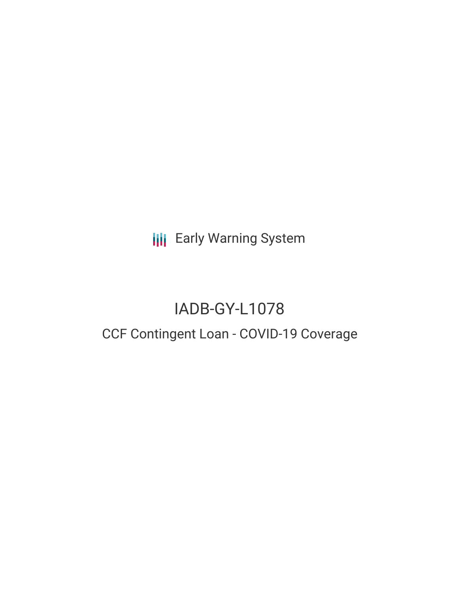**III** Early Warning System

# IADB-GY-L1078

## CCF Contingent Loan - COVID-19 Coverage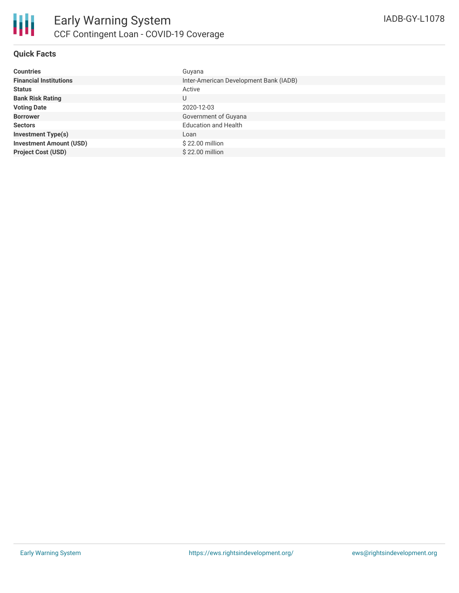

#### **Quick Facts**

| <b>Countries</b>               | Guyana                                 |
|--------------------------------|----------------------------------------|
| <b>Financial Institutions</b>  | Inter-American Development Bank (IADB) |
| <b>Status</b>                  | Active                                 |
| <b>Bank Risk Rating</b>        | U                                      |
| <b>Voting Date</b>             | 2020-12-03                             |
| <b>Borrower</b>                | Government of Guyana                   |
| <b>Sectors</b>                 | <b>Education and Health</b>            |
| <b>Investment Type(s)</b>      | Loan                                   |
| <b>Investment Amount (USD)</b> | $$22.00$ million                       |
| <b>Project Cost (USD)</b>      | \$22.00 million                        |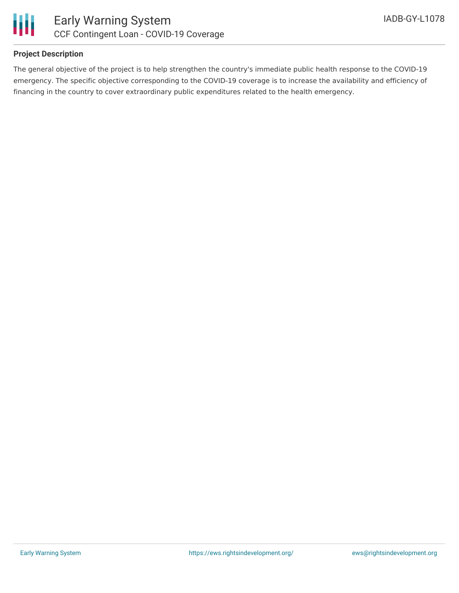

### **Project Description**

The general objective of the project is to help strengthen the country's immediate public health response to the COVID-19 emergency. The specific objective corresponding to the COVID-19 coverage is to increase the availability and efficiency of financing in the country to cover extraordinary public expenditures related to the health emergency.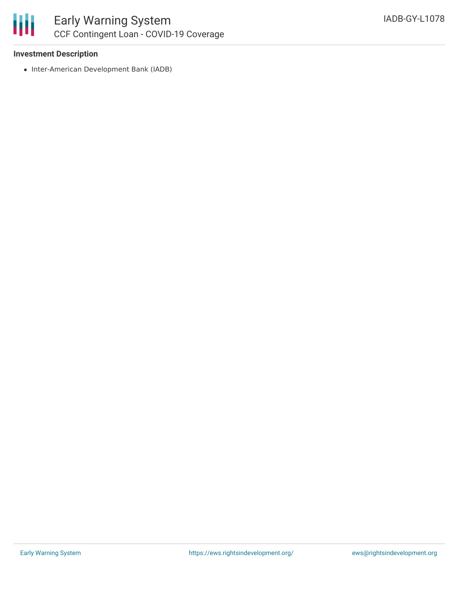

#### **Investment Description**

• Inter-American Development Bank (IADB)